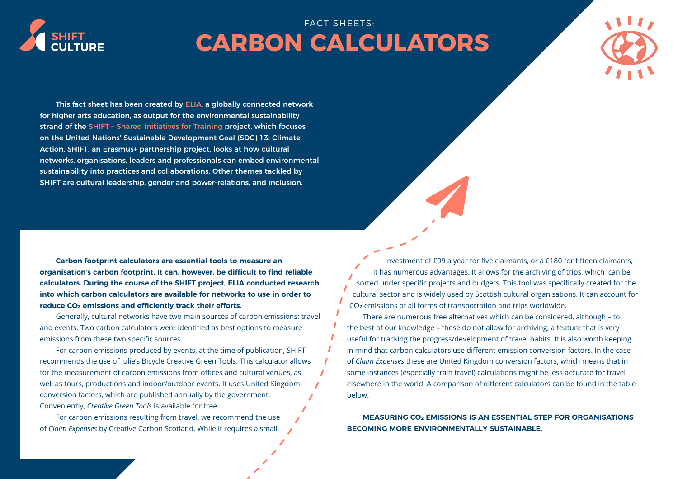

## FACT SHEETS: **CARBON CALCULATORS**



This fact sheet has been created by **ELIA**, a globally connected network for higher arts education, as output for the environmental sustainability strand of the **SHIFT** - Shared Initiatives for Training project, which focuses on the United Nations' Sustainable Development Goal (SDG) 13: Climate Action. SHIFT, an Erasmus+ partnership project, looks at how cultural networks, organisations, leaders and professionals can embed environmental sustainability into practices and collaborations. Other themes tackled by SHIFT are cultural leadership, gender and power-relations, and inclusion.

**Carbon footprint calculators are essential tools to measure an organisation's carbon footprint. It can, however, be difficult to find reliable calculators. During the course of the SHIFT project, ELIA conducted research into which carbon calculators are available for networks to use in order to reduce CO2 emissions and efficiently track their efforts.**

Generally, cultural networks have two main sources of carbon emissions: travel and events. Two carbon calculators were identified as best options to measure emissions from these two specific sources.

For carbon emissions produced by events, at the time of publication, SHIFT recommends the use of Julie's Bicycle Creative Green Tools. This calculator allows for the measurement of carbon emissions from offices and cultural venues, as well as tours, productions and indoor/outdoor events. It uses United Kingdom conversion factors, which are published annually by the government. Conveniently, *Creative Green Tools* is available for free.

For carbon emissions resulting from travel, we recommend the use of *Claim Expenses* by Creative Carbon Scotland. While it requires a small

investment of £99 a year for five claimants, or a £180 for fifteen claimants, it has numerous advantages. It allows for the archiving of trips, which can be sorted under specific projects and budgets. This tool was specifically created for the cultural sector and is widely used by Scottish cultural organisations. It can account for CO2 emissions of all forms of transportation and trips worldwide.

There are numerous free alternatives which can be considered, although – to the best of our knowledge – these do not allow for archiving, a feature that is very useful for tracking the progress/development of travel habits. It is also worth keeping in mind that carbon calculators use different emission conversion factors. In the case of *Claim Expenses* these are United Kingdom conversion factors, which means that in some instances (especially train travel) calculations might be less accurate for travel elsewhere in the world. A comparison of different calculators can be found in the table below.

**MEASURING CO2 EMISSIONS IS AN ESSENTIAL STEP FOR ORGANISATIONS BECOMING MORE ENVIRONMENTALLY SUSTAINABLE.**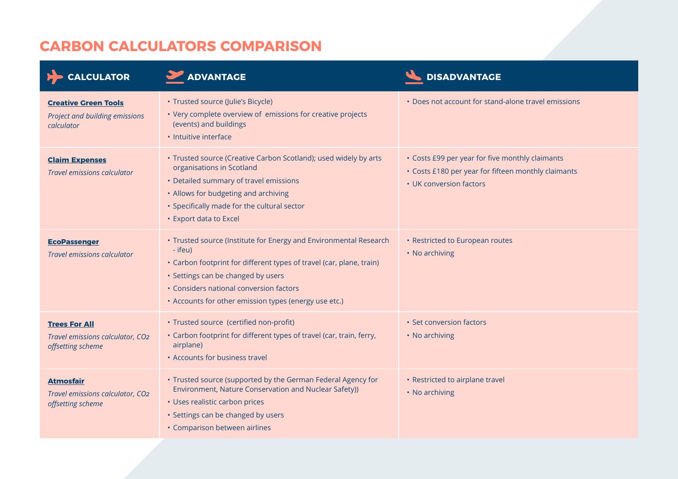## **CARBON CALCULATORS COMPARISON**

| <b>CALCULATOR</b>                                                             | ADVANTAGE                                                                                                                                                                                                                                                                                      | <b>DISADVANTAGE</b>                                                                                                               |
|-------------------------------------------------------------------------------|------------------------------------------------------------------------------------------------------------------------------------------------------------------------------------------------------------------------------------------------------------------------------------------------|-----------------------------------------------------------------------------------------------------------------------------------|
| <b>Creative Green Tools</b><br>Project and building emissions<br>calculator   | • Trusted source (Julie's Bicycle)<br>• Very complete overview of emissions for creative projects<br>(events) and buildings<br>· Intuitive interface                                                                                                                                           | • Does not account for stand-alone travel emissions                                                                               |
| <b>Claim Expenses</b><br><b>Travel emissions calculator</b>                   | • Trusted source (Creative Carbon Scotland); used widely by arts<br>organisations in Scotland<br>• Detailed summary of travel emissions<br>• Allows for budgeting and archiving<br>• Specifically made for the cultural sector<br>• Export data to Excel                                       | • Costs £99 per year for five monthly claimants<br>• Costs £180 per year for fifteen monthly claimants<br>• UK conversion factors |
| <b>EcoPassenger</b><br><b>Travel emissions calculator</b>                     | • Trusted source (Institute for Energy and Environmental Research<br>- ifeu)<br>• Carbon footprint for different types of travel (car, plane, train)<br>• Settings can be changed by users<br>• Considers national conversion factors<br>• Accounts for other emission types (energy use etc.) | • Restricted to European routes<br>• No archiving                                                                                 |
| <b>Trees For All</b><br>Travel emissions calculator, CO2<br>offsetting scheme | · Trusted source (certified non-profit)<br>• Carbon footprint for different types of travel (car, train, ferry,<br>airplane)<br>• Accounts for business travel                                                                                                                                 | • Set conversion factors<br>• No archiving                                                                                        |
| <b>Atmosfair</b><br>Travel emissions calculator, CO2<br>offsetting scheme     | • Trusted source (supported by the German Federal Agency for<br>Environment, Nature Conservation and Nuclear Safety))<br>• Uses realistic carbon prices<br>· Settings can be changed by users<br>• Comparison between airlines                                                                 | • Restricted to airplane travel<br>• No archiving                                                                                 |